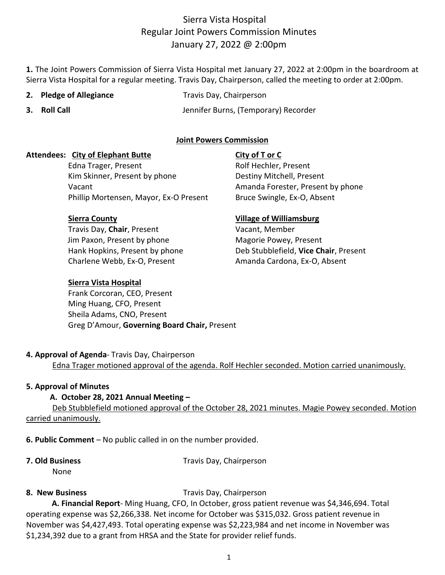# Sierra Vista Hospital Regular Joint Powers Commission Minutes January 27, 2022 @ 2:00pm

**1.** The Joint Powers Commission of Sierra Vista Hospital met January 27, 2022 at 2:00pm in the boardroom at Sierra Vista Hospital for a regular meeting. Travis Day, Chairperson, called the meeting to order at 2:00pm.

- 
- **2. Pledge of Allegiance** Travis Day, Chairperson
- 

**3. Roll Call** Jennifer Burns, (Temporary) Recorder

## **Joint Powers Commission**

### **Attendees: City of Elephant Butte City of T or C**

Edna Trager, Present **Rolf Hechler**, Present Kim Skinner, Present by phone Destiny Mitchell, Present Vacant **Amanda Forester, Present by phone** Amanda Forester, Present by phone Phillip Mortensen, Mayor, Ex-O Present Bruce Swingle, Ex-O, Absent

Travis Day, **Chair**, Present Vacant, Member Jim Paxon, Present by phone Magorie Powey, Present Charlene Webb, Ex-O, Present Amanda Cardona, Ex-O, Absent

### **Sierra Vista Hospital**

 Frank Corcoran, CEO, Present Ming Huang, CFO, Present Sheila Adams, CNO, Present Greg D'Amour, **Governing Board Chair,** Present

### **Sierra County Village of Williamsburg**

Hank Hopkins, Present by phone Deb Stubblefield, **Vice Chair**, Present

#### **4. Approval of Agenda**- Travis Day, Chairperson

Edna Trager motioned approval of the agenda. Rolf Hechler seconded. Motion carried unanimously.

### **5. Approval of Minutes**

### **A. October 28, 2021 Annual Meeting –**

Deb Stubblefield motioned approval of the October 28, 2021 minutes. Magie Powey seconded. Motion carried unanimously.

**6. Public Comment** – No public called in on the number provided.

**7. Old Business** Travis Day, Chairperson

None

**8. New Business** Travis Day, Chairperson

 **A. Financial Report**- Ming Huang, CFO, In October, gross patient revenue was \$4,346,694. Total operating expense was \$2,266,338. Net income for October was \$315,032. Gross patient revenue in November was \$4,427,493. Total operating expense was \$2,223,984 and net income in November was \$1,234,392 due to a grant from HRSA and the State for provider relief funds.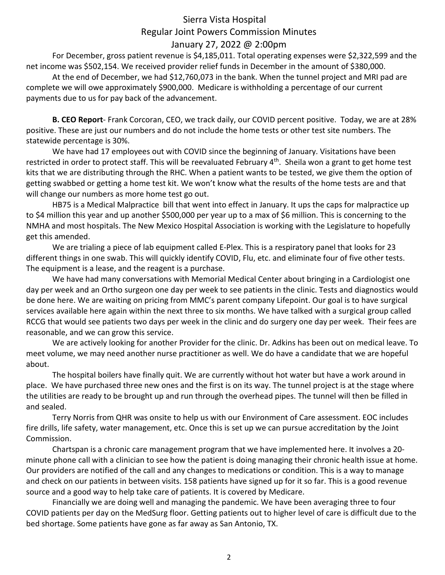# Sierra Vista Hospital Regular Joint Powers Commission Minutes January 27, 2022 @ 2:00pm

For December, gross patient revenue is \$4,185,011. Total operating expenses were \$2,322,599 and the net income was \$502,154. We received provider relief funds in December in the amount of \$380,000.

At the end of December, we had \$12,760,073 in the bank. When the tunnel project and MRI pad are complete we will owe approximately \$900,000. Medicare is withholding a percentage of our current payments due to us for pay back of the advancement.

**B. CEO Report**- Frank Corcoran, CEO, we track daily, our COVID percent positive. Today, we are at 28% positive. These are just our numbers and do not include the home tests or other test site numbers. The statewide percentage is 30%.

We have had 17 employees out with COVID since the beginning of January. Visitations have been restricted in order to protect staff. This will be reevaluated February  $4<sup>th</sup>$ . Sheila won a grant to get home test kits that we are distributing through the RHC. When a patient wants to be tested, we give them the option of getting swabbed or getting a home test kit. We won't know what the results of the home tests are and that will change our numbers as more home test go out.

HB75 is a Medical Malpractice bill that went into effect in January. It ups the caps for malpractice up to \$4 million this year and up another \$500,000 per year up to a max of \$6 million. This is concerning to the NMHA and most hospitals. The New Mexico Hospital Association is working with the Legislature to hopefully get this amended.

We are trialing a piece of lab equipment called E-Plex. This is a respiratory panel that looks for 23 different things in one swab. This will quickly identify COVID, Flu, etc. and eliminate four of five other tests. The equipment is a lease, and the reagent is a purchase.

We have had many conversations with Memorial Medical Center about bringing in a Cardiologist one day per week and an Ortho surgeon one day per week to see patients in the clinic. Tests and diagnostics would be done here. We are waiting on pricing from MMC's parent company Lifepoint. Our goal is to have surgical services available here again within the next three to six months. We have talked with a surgical group called RCCG that would see patients two days per week in the clinic and do surgery one day per week. Their fees are reasonable, and we can grow this service.

We are actively looking for another Provider for the clinic. Dr. Adkins has been out on medical leave. To meet volume, we may need another nurse practitioner as well. We do have a candidate that we are hopeful about.

The hospital boilers have finally quit. We are currently without hot water but have a work around in place. We have purchased three new ones and the first is on its way. The tunnel project is at the stage where the utilities are ready to be brought up and run through the overhead pipes. The tunnel will then be filled in and sealed.

Terry Norris from QHR was onsite to help us with our Environment of Care assessment. EOC includes fire drills, life safety, water management, etc. Once this is set up we can pursue accreditation by the Joint Commission.

Chartspan is a chronic care management program that we have implemented here. It involves a 20 minute phone call with a clinician to see how the patient is doing managing their chronic health issue at home. Our providers are notified of the call and any changes to medications or condition. This is a way to manage and check on our patients in between visits. 158 patients have signed up for it so far. This is a good revenue source and a good way to help take care of patients. It is covered by Medicare.

Financially we are doing well and managing the pandemic. We have been averaging three to four COVID patients per day on the MedSurg floor. Getting patients out to higher level of care is difficult due to the bed shortage. Some patients have gone as far away as San Antonio, TX.